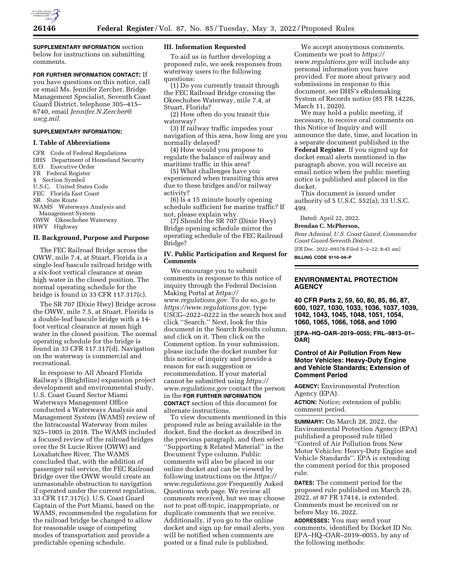

**SUPPLEMENTARY INFORMATION** section below for instructions on submitting comments.

#### **FOR FURTHER INFORMATION CONTACT:** If

you have questions on this notice, call or email Ms. Jennifer Zercher, Bridge Management Specialist, Seventh Coast Guard District, telephone 305–415– 6740, email *[Jennifer.N.Zercher@](mailto:Jennifer.N.Zercher@uscg.mil) [uscg.mil.](mailto:Jennifer.N.Zercher@uscg.mil)* 

#### **SUPPLEMENTARY INFORMATION:**

### **I. Table of Abbreviations**

CFR Code of Federal Regulations DHS Department of Homeland Security E.O. Executive Order FR Federal Register § Section Symbol U.S.C. United States Code FEC Florida East Coast SR State Route WAMS Waterways Analysis and Management System OWW Okeechobee Waterway HWY Highway

# **II. Background, Purpose and Purpose**

The FEC Railroad Bridge across the OWW, mile 7.4, at Stuart, Florida is a single-leaf bascule railroad bridge with a six-foot vertical clearance at mean high water in the closed position. The normal operating schedule for the bridge is found in 33 CFR 117.317(c).

The SR 707 (Dixie Hwy) Bridge across the OWW, mile 7.5, at Stuart, Florida is a double-leaf bascule bridge with a 14 foot vertical clearance at mean high water in the closed position. The normal operating schedule for the bridge is found in 33 CFR 117.317(d). Navigation on the waterway is commercial and recreational.

In response to All Aboard Florida Railway's (Brightline) expansion project development and environmental study, U.S. Coast Guard Sector Miami Waterways Management Office conducted a Waterways Analysis and Management System (WAMS) review of the Intracoastal Waterway from miles 925–1005 in 2018. The WAMS included a focused review of the railroad bridges over the St Lucie River (OWW) and Loxahatchee River. The WAMS concluded that, with the addition of passenger rail service, the FEC Railroad Bridge over the OWW would create an unreasonable obstruction to navigation if operated under the current regulation, 33 CFR 117.317(c). U.S. Coast Guard Captain of the Port Miami, based on the WAMS, recommended the regulation for the railroad bridge be changed to allow for reasonable usage of competing modes of transportation and provide a predictable opening schedule.

#### **III. Information Requested**

To aid us in further developing a proposed rule, we seek responses from waterway users to the following questions:

(1) Do you currently transit through the FEC Railroad Bridge crossing the Okeechobee Waterway, mile 7.4, at Stuart, Florida?

(2) How often do you transit this waterway?

(3) If railway traffic impedes your navigation of this area, how long are you normally delayed?

(4) How would you propose to regulate the balance of railway and maritime traffic in this area?

(5) What challenges have you experienced when transiting this area due to these bridges and/or railway activity?

(6) Is a 15 minute hourly opening schedule sufficient for marine traffic? If not, please explain why.

(7) Should the SR 707 (Dixie Hwy) Bridge opening schedule mirror the operating schedule of the FEC Railroad Bridge?

### **IV. Public Participation and Request for Comments**

We encourage you to submit comments in response to this notice of inquiry through the Federal Decision Making Portal at *[https://](https://www.regulations.gov) [www.regulations.gov.](https://www.regulations.gov)* To do so, go to *[https://www.regulations.gov,](https://www.regulations.gov)* type USCG–2022–0222 in the search box and click ''Search.'' Next, look for this document in the Search Results column, and click on it. Then click on the Comment option. In your submission, please include the docket number for this notice of inquiry and provide a reason for each suggestion or recommendation. If your material cannot be submitted using *[https://](https://www.regulations.gov) [www.regulations.gov](https://www.regulations.gov)* contact the person in the **FOR FURTHER INFORMATION CONTACT** section of this document for alternate instructions.

To view documents mentioned in this proposed rule as being available in the docket, find the docket as described in the previous paragraph, and then select ''Supporting & Related Material'' in the Document Type column. Public comments will also be placed in our online docket and can be viewed by following instructions on the *[https://](https://www.regulations.gov) [www.regulations.gov](https://www.regulations.gov)* Frequently Asked Questions web page. We review all comments received, but we may choose not to post off-topic, inappropriate, or duplicate comments that we receive. Additionally, if you go to the online docket and sign up for email alerts, you will be notified when comments are posted or a final rule is published.

We accept anonymous comments. Comments we post to *[https://](https://www.regulations.gov) [www.regulations.gov](https://www.regulations.gov)* will include any personal information you have provided. For more about privacy and submissions in response to this document, see DHS's eRulemaking System of Records notice (85 FR 14226, March 11, 2020).

We may hold a public meeting, if necessary, to receive oral comments on this Notice of Inquiry and will announce the date, time, and location in a separate document published in the **Federal Register**. If you signed up for docket email alerts mentioned in the paragraph above, you will receive an email notice when the public meeting notice is published and placed in the docket.

This document is issued under authority of 5 U.S.C. 552(a); 33 U.S.C. 499.

Dated: April 22, 2022.

**Brendan C. McPherson,** 

*Rear Admiral, U.S. Coast Guard, Commander Coast Guard Seventh District.* 

[FR Doc. 2022–09378 Filed 5–2–22; 8:45 am]

**BILLING CODE 9110–04–P** 

### **ENVIRONMENTAL PROTECTION AGENCY**

**40 CFR Parts 2, 59, 60, 80, 85, 86, 87, 600, 1027, 1030, 1033, 1036, 1037, 1039, 1042, 1043, 1045, 1048, 1051, 1054, 1060, 1065, 1066, 1068, and 1090** 

**[EPA–HQ–OAR–2019–0055; FRL–9813–01– OAR]** 

## **Control of Air Pollution From New Motor Vehicles: Heavy-Duty Engine and Vehicle Standards; Extension of Comment Period**

**AGENCY:** Environmental Protection Agency (EPA). **ACTION:** Notice; extension of public comment period.

**SUMMARY:** On March 28, 2022, the Environmental Protection Agency (EPA) published a proposed rule titled ''Control of Air Pollution from New Motor Vehicles: Heavy-Duty Engine and Vehicle Standards''. EPA is extending the comment period for this proposed rule.

**DATES:** The comment period for the proposed rule published on March 28, 2022, at 87 FR 17414, is extended. Comments must be received on or before May 16, 2022.

**ADDRESSES:** You may send your comments, identified by Docket ID No. EPA–HQ–OAR–2019–0055, by any of the following methods: